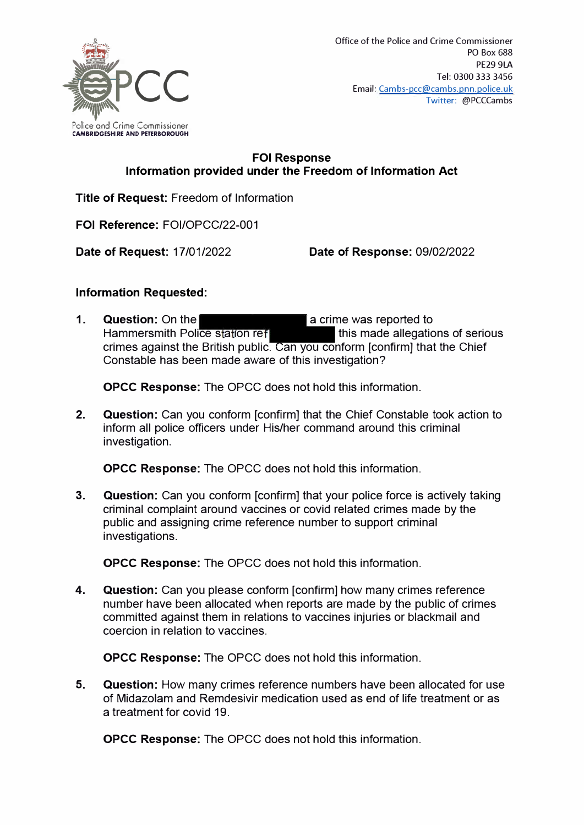

## **FOi Response Information provided under the Freedom of Information Act**

**Title of Request:** Freedom of Information

**FOi Reference:** FOI/OPCC/22-001

**Date of Request:** 17/01/2022 **Date of Response:** 09/02/2022

## **Information Requested:**

**1.** Question: On the **a crime was reported to**<br>**Hammersmith Police station reflection of this made allegations of serious** Hammersmith Police station ref crimes against the British public. Can you conform [confirm] that the Chief Constable has been made aware of this investigation?

**OPCC Response:** The OPCC does not hold this information.

**2. Question:** Can you conform [confirm] that the Chief Constable took action to inform all police officers under His/her command around this criminal investigation.

**OPCC Response:** The OPCC does not hold this information.

**3. Question:** Can you conform [confirm] that your police force is actively taking criminal complaint around vaccines or covid related crimes made by the public and assigning crime reference number to support criminal investigations.

**OPCC Response:** The OPCC does not hold this information.

**4. Question:** Can you please conform [confirm] how many crimes reference number have been allocated when reports are made by the public of crimes committed against them in relations to vaccines injuries or blackmail and coercion in relation to vaccines.

**OPCC Response:** The OPCC does not hold this information.

**5. Question:** How many crimes reference numbers have been allocated for use of Midazolam and Remdesivir medication used as end of life treatment or as a treatment for covid 19.

**OPCC Response:** The OPCC does not hold this information.